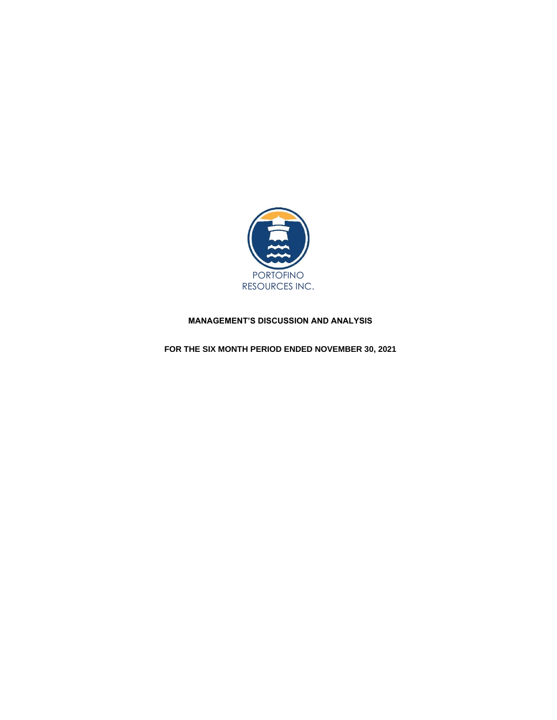

# **MANAGEMENT'S DISCUSSION AND ANALYSIS**

**FOR THE SIX MONTH PERIOD ENDED NOVEMBER 30, 2021**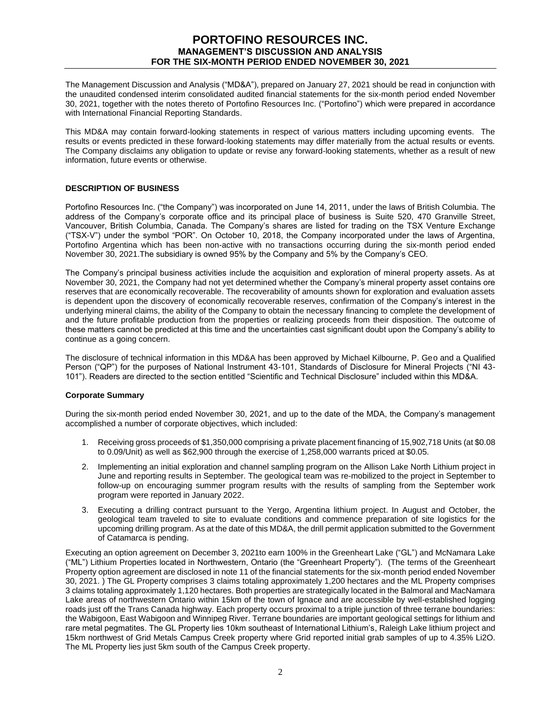The Management Discussion and Analysis ("MD&A"), prepared on January 27, 2021 should be read in conjunction with the unaudited condensed interim consolidated audited financial statements for the six-month period ended November 30, 2021, together with the notes thereto of Portofino Resources Inc. ("Portofino") which were prepared in accordance with International Financial Reporting Standards.

This MD&A may contain forward-looking statements in respect of various matters including upcoming events. The results or events predicted in these forward-looking statements may differ materially from the actual results or events. The Company disclaims any obligation to update or revise any forward-looking statements, whether as a result of new information, future events or otherwise.

## **DESCRIPTION OF BUSINESS**

Portofino Resources Inc. ("the Company") was incorporated on June 14, 2011, under the laws of British Columbia. The address of the Company's corporate office and its principal place of business is Suite 520, 470 Granville Street, Vancouver, British Columbia, Canada. The Company's shares are listed for trading on the TSX Venture Exchange ("TSX-V") under the symbol "POR". On October 10, 2018, the Company incorporated under the laws of Argentina, Portofino Argentina which has been non-active with no transactions occurring during the six-month period ended November 30, 2021.The subsidiary is owned 95% by the Company and 5% by the Company's CEO.

The Company's principal business activities include the acquisition and exploration of mineral property assets. As at November 30, 2021, the Company had not yet determined whether the Company's mineral property asset contains ore reserves that are economically recoverable. The recoverability of amounts shown for exploration and evaluation assets is dependent upon the discovery of economically recoverable reserves, confirmation of the Company's interest in the underlying mineral claims, the ability of the Company to obtain the necessary financing to complete the development of and the future profitable production from the properties or realizing proceeds from their disposition. The outcome of these matters cannot be predicted at this time and the uncertainties cast significant doubt upon the Company's ability to continue as a going concern.

The disclosure of technical information in this MD&A has been approved by Michael Kilbourne, P. Geo and a Qualified Person ("QP") for the purposes of National Instrument 43-101, Standards of Disclosure for Mineral Projects ("NI 43- 101"). Readers are directed to the section entitled "Scientific and Technical Disclosure" included within this MD&A.

## **Corporate Summary**

During the six-month period ended November 30, 2021, and up to the date of the MDA, the Company's management accomplished a number of corporate objectives, which included:

- 1. Receiving gross proceeds of \$1,350,000 comprising a private placement financing of 15,902,718 Units (at \$0.08 to 0.09/Unit) as well as \$62,900 through the exercise of 1,258,000 warrants priced at \$0.05.
- 2. Implementing an initial exploration and channel sampling program on the Allison Lake North Lithium project in June and reporting results in September. The geological team was re-mobilized to the project in September to follow-up on encouraging summer program results with the results of sampling from the September work program were reported in January 2022.
- 3. Executing a drilling contract pursuant to the Yergo, Argentina lithium project. In August and October, the geological team traveled to site to evaluate conditions and commence preparation of site logistics for the upcoming drilling program. As at the date of this MD&A, the drill permit application submitted to the Government of Catamarca is pending.

Executing an option agreement on December 3, 2021to earn 100% in the Greenheart Lake ("GL") and McNamara Lake ("ML") Lithium Properties located in Northwestern, Ontario (the "Greenheart Property"). (The terms of the Greenheart Property option agreement are disclosed in note 11 of the financial statements for the six-month period ended November 30, 2021. ) The GL Property comprises 3 claims totaling approximately 1,200 hectares and the ML Property comprises 3 claims totaling approximately 1,120 hectares. Both properties are strategically located in the Balmoral and MacNamara Lake areas of northwestern Ontario within 15km of the town of Ignace and are accessible by well-established logging roads just off the Trans Canada highway. Each property occurs proximal to a triple junction of three terrane boundaries: the Wabigoon, East Wabigoon and Winnipeg River. Terrane boundaries are important geological settings for lithium and rare metal pegmatites. The GL Property lies 10km southeast of International Lithium's, Raleigh Lake lithium project and 15km northwest of Grid Metals Campus Creek property where Grid reported initial grab samples of up to 4.35% Li2O. The ML Property lies just 5km south of the Campus Creek property.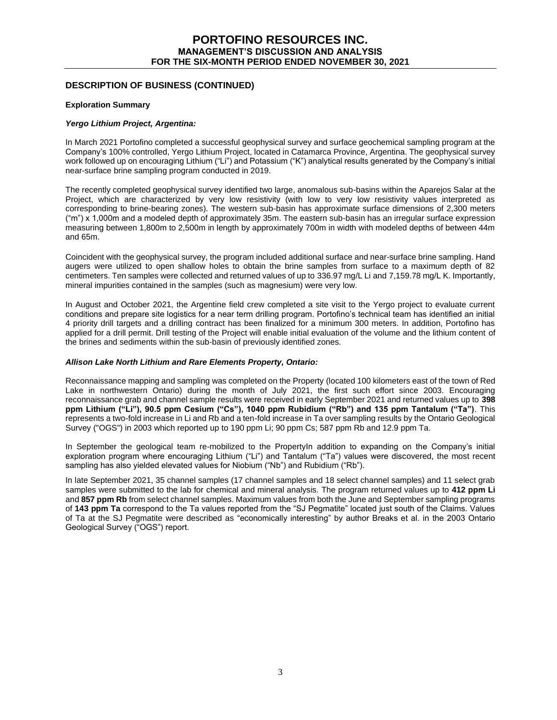# **DESCRIPTION OF BUSINESS (CONTINUED)**

## **Exploration Summary**

## *Yergo Lithium Project, Argentina:*

In March 2021 Portofino completed a successful geophysical survey and surface geochemical sampling program at the Company's 100% controlled, Yergo Lithium Project, located in Catamarca Province, Argentina. The geophysical survey work followed up on encouraging Lithium ("Li") and Potassium ("K") analytical results generated by the Company's initial near-surface brine sampling program conducted in 2019.

The recently completed geophysical survey identified two large, anomalous sub-basins within the Aparejos Salar at the Project, which are characterized by very low resistivity (with low to very low resistivity values interpreted as corresponding to brine-bearing zones). The western sub-basin has approximate surface dimensions of 2,300 meters ("m") x 1,000m and a modeled depth of approximately 35m. The eastern sub-basin has an irregular surface expression measuring between 1,800m to 2,500m in length by approximately 700m in width with modeled depths of between 44m and 65m.

Coincident with the geophysical survey, the program included additional surface and near-surface brine sampling. Hand augers were utilized to open shallow holes to obtain the brine samples from surface to a maximum depth of 82 centimeters. Ten samples were collected and returned values of up to 336.97 mg/L Li and 7,159.78 mg/L K. Importantly, mineral impurities contained in the samples (such as magnesium) were very low.

In August and October 2021, the Argentine field crew completed a site visit to the Yergo project to evaluate current conditions and prepare site logistics for a near term drilling program. Portofino's technical team has identified an initial 4 priority drill targets and a drilling contract has been finalized for a minimum 300 meters. In addition, Portofino has applied for a drill permit. Drill testing of the Project will enable initial evaluation of the volume and the lithium content of the brines and sediments within the sub-basin of previously identified zones.

#### *Allison Lake North Lithium and Rare Elements Property, Ontario:*

Reconnaissance mapping and sampling was completed on the Property (located 100 kilometers east of the town of Red Lake in northwestern Ontario) during the month of July 2021, the first such effort since 2003. Encouraging reconnaissance grab and channel sample results were received in early September 2021 and returned values up to **398 ppm Lithium ("Li"), 90.5 ppm Cesium ("Cs"), 1040 ppm Rubidium ("Rb") and 135 ppm Tantalum ("Ta")**. This represents a two-fold increase in Li and Rb and a ten-fold increase in Ta over sampling results by the Ontario Geological Survey ("OGS") in 2003 which reported up to 190 ppm Li; 90 ppm Cs; 587 ppm Rb and 12.9 ppm Ta.

In September the geological team re-mobilized to the PropertyIn addition to expanding on the Company's initial exploration program where encouraging Lithium ("Li") and Tantalum ("Ta") values were discovered, the most recent sampling has also yielded elevated values for Niobium ("Nb") and Rubidium ("Rb").

In late September 2021, 35 channel samples (17 channel samples and 18 select channel samples) and 11 select grab samples were submitted to the lab for chemical and mineral analysis. The program returned values up to **412 ppm Li** and **857 ppm Rb** from select channel samples. Maximum values from both the June and September sampling programs of **143 ppm Ta** correspond to the Ta values reported from the "SJ Pegmatite" located just south of the Claims. Values of Ta at the SJ Pegmatite were described as "economically interesting" by author Breaks et al. in the 2003 Ontario Geological Survey ("OGS") report.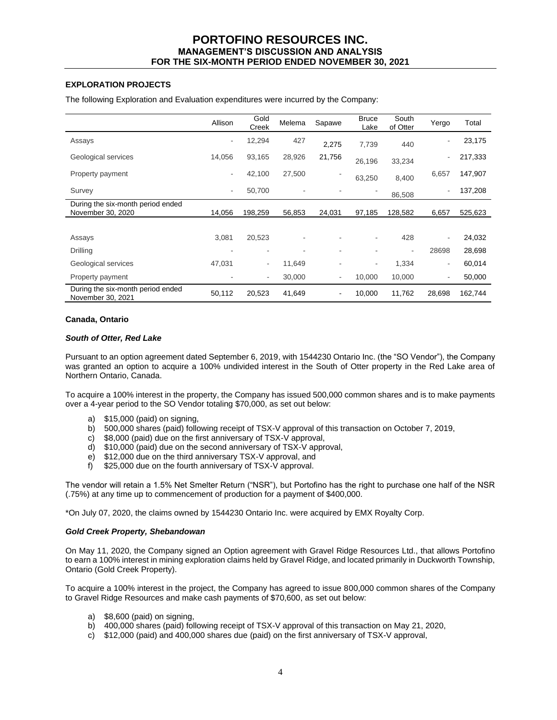# **EXPLORATION PROJECTS**

The following Exploration and Evaluation expenditures were incurred by the Company:

|                                                        | Allison                  | Gold<br>Creek            | Melema | Sapawe | <b>Bruce</b><br>Lake     | South<br>of Otter | Yergo  | Total   |
|--------------------------------------------------------|--------------------------|--------------------------|--------|--------|--------------------------|-------------------|--------|---------|
| Assays                                                 | ٠                        | 12,294                   | 427    | 2,275  | 7,739                    | 440               |        | 23,175  |
| Geological services                                    | 14,056                   | 93,165                   | 28,926 | 21,756 | 26,196                   | 33,234            |        | 217,333 |
| Property payment                                       | $\overline{\phantom{a}}$ | 42,100                   | 27,500 |        | 63,250                   | 8,400             | 6,657  | 147,907 |
| Survey                                                 | $\sim$                   | 50,700                   |        |        |                          | 86,508            |        | 137,208 |
| During the six-month period ended<br>November 30, 2020 | 14,056                   | 198,259                  | 56,853 | 24,031 | 97,185                   | 128,582           | 6,657  | 525,623 |
|                                                        |                          |                          |        |        |                          |                   |        |         |
| Assays                                                 | 3,081                    | 20,523                   |        |        | $\overline{\phantom{a}}$ | 428               |        | 24,032  |
| Drilling                                               |                          | ۰                        |        |        | ۰                        | ۰                 | 28698  | 28,698  |
| Geological services                                    | 47,031                   | $\overline{\phantom{a}}$ | 11,649 | ۰      | $\overline{\phantom{a}}$ | 1,334             | ٠      | 60,014  |
| Property payment                                       |                          | ٠                        | 30,000 | ٠      | 10,000                   | 10,000            |        | 50,000  |
| During the six-month period ended<br>November 30, 2021 | 50,112                   | 20,523                   | 41,649 | ٠      | 10,000                   | 11,762            | 28,698 | 162,744 |

## **Canada, Ontario**

#### *South of Otter, Red Lake*

Pursuant to an option agreement dated September 6, 2019, with 1544230 Ontario Inc. (the "SO Vendor"), the Company was granted an option to acquire a 100% undivided interest in the South of Otter property in the Red Lake area of Northern Ontario, Canada.

To acquire a 100% interest in the property, the Company has issued 500,000 common shares and is to make payments over a 4-year period to the SO Vendor totaling \$70,000, as set out below:

- \$15,000 (paid) on signing,
- b) 500,000 shares (paid) following receipt of TSX-V approval of this transaction on October 7, 2019,
- c) \$8,000 (paid) due on the first anniversary of TSX-V approval,
- d) \$10,000 (paid) due on the second anniversary of TSX-V approval,
- e) \$12,000 due on the third anniversary TSX-V approval, and
- f) \$25,000 due on the fourth anniversary of TSX-V approval.

The vendor will retain a 1.5% Net Smelter Return ("NSR"), but Portofino has the right to purchase one half of the NSR (.75%) at any time up to commencement of production for a payment of \$400,000.

\*On July 07, 2020, the claims owned by 1544230 Ontario Inc. were acquired by EMX Royalty Corp.

#### *Gold Creek Property, Shebandowan*

On May 11, 2020, the Company signed an Option agreement with Gravel Ridge Resources Ltd., that allows Portofino to earn a 100% interest in mining exploration claims held by Gravel Ridge, and located primarily in Duckworth Township, Ontario (Gold Creek Property).

To acquire a 100% interest in the project, the Company has agreed to issue 800,000 common shares of the Company to Gravel Ridge Resources and make cash payments of \$70,600, as set out below:

- a) \$8,600 (paid) on signing,
- b) 400,000 shares (paid) following receipt of TSX-V approval of this transaction on May 21, 2020,
- c) \$12,000 (paid) and 400,000 shares due (paid) on the first anniversary of TSX-V approval,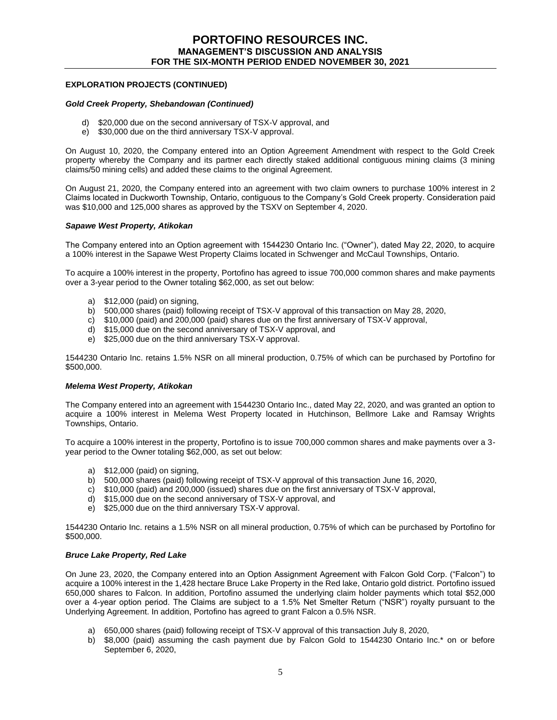## **EXPLORATION PROJECTS (CONTINUED)**

## *Gold Creek Property, Shebandowan (Continued)*

- d) \$20,000 due on the second anniversary of TSX-V approval, and
- e) \$30,000 due on the third anniversary TSX-V approval.

On August 10, 2020, the Company entered into an Option Agreement Amendment with respect to the Gold Creek property whereby the Company and its partner each directly staked additional contiguous mining claims (3 mining claims/50 mining cells) and added these claims to the original Agreement.

On August 21, 2020, the Company entered into an agreement with two claim owners to purchase 100% interest in 2 Claims located in Duckworth Township, Ontario, contiguous to the Company's Gold Creek property. Consideration paid was \$10,000 and 125,000 shares as approved by the TSXV on September 4, 2020.

### *Sapawe West Property, Atikokan*

The Company entered into an Option agreement with 1544230 Ontario Inc. ("Owner"), dated May 22, 2020, to acquire a 100% interest in the Sapawe West Property Claims located in Schwenger and McCaul Townships, Ontario.

To acquire a 100% interest in the property, Portofino has agreed to issue 700,000 common shares and make payments over a 3-year period to the Owner totaling \$62,000, as set out below:

- a) \$12,000 (paid) on signing,
- b) 500,000 shares (paid) following receipt of TSX-V approval of this transaction on May 28, 2020,
- c) \$10,000 (paid) and 200,000 (paid) shares due on the first anniversary of TSX-V approval,
- d) \$15,000 due on the second anniversary of TSX-V approval, and
- e) \$25,000 due on the third anniversary TSX-V approval.

1544230 Ontario Inc. retains 1.5% NSR on all mineral production, 0.75% of which can be purchased by Portofino for \$500,000.

#### *Melema West Property, Atikokan*

The Company entered into an agreement with 1544230 Ontario Inc., dated May 22, 2020, and was granted an option to acquire a 100% interest in Melema West Property located in Hutchinson, Bellmore Lake and Ramsay Wrights Townships, Ontario.

To acquire a 100% interest in the property, Portofino is to issue 700,000 common shares and make payments over a 3 year period to the Owner totaling \$62,000, as set out below:

- a) \$12,000 (paid) on signing,
- b) 500,000 shares (paid) following receipt of TSX-V approval of this transaction June 16, 2020,
- c) \$10,000 (paid) and 200,000 (issued) shares due on the first anniversary of TSX-V approval,
- d) \$15,000 due on the second anniversary of TSX-V approval, and
- e) \$25,000 due on the third anniversary TSX-V approval.

1544230 Ontario Inc. retains a 1.5% NSR on all mineral production, 0.75% of which can be purchased by Portofino for \$500,000.

#### *Bruce Lake Property, Red Lake*

On June 23, 2020, the Company entered into an Option Assignment Agreement with Falcon Gold Corp. ("Falcon") to acquire a 100% interest in the 1,428 hectare Bruce Lake Property in the Red lake, Ontario gold district. Portofino issued 650,000 shares to Falcon. In addition, Portofino assumed the underlying claim holder payments which total \$52,000 over a 4-year option period. The Claims are subject to a 1.5% Net Smelter Return ("NSR") royalty pursuant to the Underlying Agreement. In addition, Portofino has agreed to grant Falcon a 0.5% NSR.

- a) 650,000 shares (paid) following receipt of TSX-V approval of this transaction July 8, 2020,
- b) \$8,000 (paid) assuming the cash payment due by Falcon Gold to 1544230 Ontario Inc.\* on or before September 6, 2020,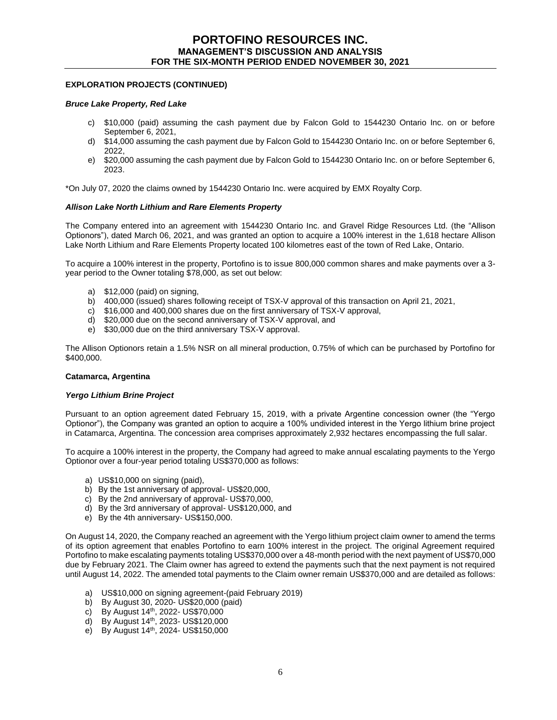## **EXPLORATION PROJECTS (CONTINUED)**

### *Bruce Lake Property, Red Lake*

- c) \$10,000 (paid) assuming the cash payment due by Falcon Gold to 1544230 Ontario Inc. on or before September 6, 2021,
- d) \$14,000 assuming the cash payment due by Falcon Gold to 1544230 Ontario Inc. on or before September 6, 2022,
- e) \$20,000 assuming the cash payment due by Falcon Gold to 1544230 Ontario Inc. on or before September 6, 2023.

\*On July 07, 2020 the claims owned by 1544230 Ontario Inc. were acquired by EMX Royalty Corp.

### *Allison Lake North Lithium and Rare Elements Property*

The Company entered into an agreement with 1544230 Ontario Inc. and Gravel Ridge Resources Ltd. (the "Allison Optionors"), dated March 06, 2021, and was granted an option to acquire a 100% interest in the 1,618 hectare Allison Lake North Lithium and Rare Elements Property located 100 kilometres east of the town of Red Lake, Ontario.

To acquire a 100% interest in the property, Portofino is to issue 800,000 common shares and make payments over a 3 year period to the Owner totaling \$78,000, as set out below:

- a) \$12,000 (paid) on signing,
- b) 400,000 (issued) shares following receipt of TSX-V approval of this transaction on April 21, 2021,
- c) \$16,000 and 400,000 shares due on the first anniversary of TSX-V approval,
- d) \$20,000 due on the second anniversary of TSX-V approval, and
- e) \$30,000 due on the third anniversary TSX-V approval.

The Allison Optionors retain a 1.5% NSR on all mineral production, 0.75% of which can be purchased by Portofino for \$400,000.

#### **Catamarca, Argentina**

#### *Yergo Lithium Brine Project*

Pursuant to an option agreement dated February 15, 2019, with a private Argentine concession owner (the "Yergo Optionor"), the Company was granted an option to acquire a 100% undivided interest in the Yergo lithium brine project in Catamarca, Argentina. The concession area comprises approximately 2,932 hectares encompassing the full salar.

To acquire a 100% interest in the property, the Company had agreed to make annual escalating payments to the Yergo Optionor over a four-year period totaling US\$370,000 as follows:

- a) US\$10,000 on signing (paid),
- b) By the 1st anniversary of approval- US\$20,000,
- c) By the 2nd anniversary of approval- US\$70,000,
- d) By the 3rd anniversary of approval- US\$120,000, and
- e) By the 4th anniversary- US\$150,000.

On August 14, 2020, the Company reached an agreement with the Yergo lithium project claim owner to amend the terms of its option agreement that enables Portofino to earn 100% interest in the project. The original Agreement required Portofino to make escalating payments totaling US\$370,000 over a 48-month period with the next payment of US\$70,000 due by February 2021. The Claim owner has agreed to extend the payments such that the next payment is not required until August 14, 2022. The amended total payments to the Claim owner remain US\$370,000 and are detailed as follows:

- a) US\$10,000 on signing agreement-(paid February 2019)
- b) By August 30, 2020- US\$20,000 (paid)
- c) By August 14<sup>th</sup>, 2022- US\$70,000
- $\pi$ ) By August 14<sup>th</sup>, 2023- US\$120,000
- e) By August 14<sup>th</sup>, 2024- US\$150,000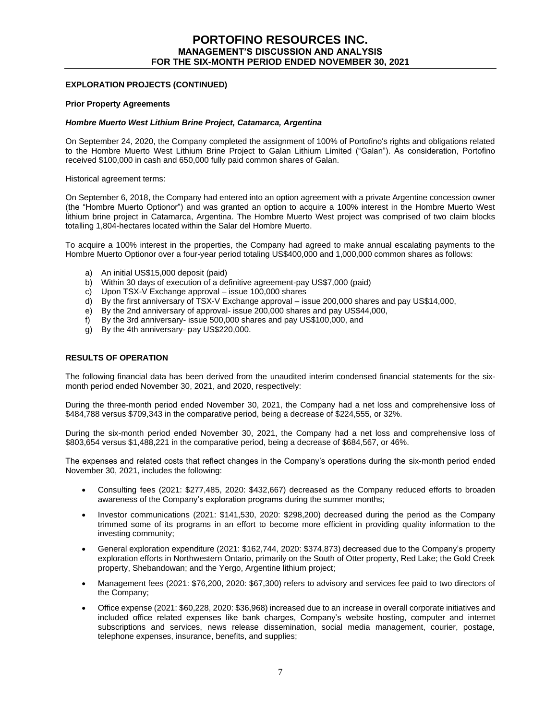## **EXPLORATION PROJECTS (CONTINUED)**

## **Prior Property Agreements**

### *Hombre Muerto West Lithium Brine Project, Catamarca, Argentina*

On September 24, 2020, the Company completed the assignment of 100% of Portofino's rights and obligations related to the Hombre Muerto West Lithium Brine Project to Galan Lithium Limited ("Galan"). As consideration, Portofino received \$100,000 in cash and 650,000 fully paid common shares of Galan.

Historical agreement terms:

On September 6, 2018, the Company had entered into an option agreement with a private Argentine concession owner (the "Hombre Muerto Optionor") and was granted an option to acquire a 100% interest in the Hombre Muerto West lithium brine project in Catamarca, Argentina. The Hombre Muerto West project was comprised of two claim blocks totalling 1,804-hectares located within the Salar del Hombre Muerto.

To acquire a 100% interest in the properties, the Company had agreed to make annual escalating payments to the Hombre Muerto Optionor over a four-year period totaling US\$400,000 and 1,000,000 common shares as follows:

- a) An initial US\$15,000 deposit (paid)
- b) Within 30 days of execution of a definitive agreement-pay US\$7,000 (paid)
- c) Upon TSX-V Exchange approval issue 100,000 shares<br>d) By the first anniversary of TSX-V Exchange approval is
- By the first anniversary of TSX-V Exchange approval issue 200,000 shares and pay US\$14,000,
- e) By the 2nd anniversary of approval- issue 200,000 shares and pay US\$44,000,
- f) By the 3rd anniversary- issue 500,000 shares and pay US\$100,000, and
- g) By the 4th anniversary- pay US\$220,000.

### **RESULTS OF OPERATION**

The following financial data has been derived from the unaudited interim condensed financial statements for the sixmonth period ended November 30, 2021, and 2020, respectively:

During the three-month period ended November 30, 2021, the Company had a net loss and comprehensive loss of \$484,788 versus \$709,343 in the comparative period, being a decrease of \$224,555, or 32%.

During the six-month period ended November 30, 2021, the Company had a net loss and comprehensive loss of \$803,654 versus \$1,488,221 in the comparative period, being a decrease of \$684,567, or 46%.

The expenses and related costs that reflect changes in the Company's operations during the six-month period ended November 30, 2021, includes the following:

- Consulting fees (2021: \$277,485, 2020: \$432,667) decreased as the Company reduced efforts to broaden awareness of the Company's exploration programs during the summer months;
- Investor communications (2021: \$141,530, 2020: \$298,200) decreased during the period as the Company trimmed some of its programs in an effort to become more efficient in providing quality information to the investing community;
- General exploration expenditure (2021: \$162,744, 2020: \$374,873) decreased due to the Company's property exploration efforts in Northwestern Ontario, primarily on the South of Otter property, Red Lake; the Gold Creek property, Shebandowan; and the Yergo, Argentine lithium project;
- Management fees (2021: \$76,200, 2020: \$67,300) refers to advisory and services fee paid to two directors of the Company;
- Office expense (2021: \$60,228, 2020: \$36,968) increased due to an increase in overall corporate initiatives and included office related expenses like bank charges, Company's website hosting, computer and internet subscriptions and services, news release dissemination, social media management, courier, postage, telephone expenses, insurance, benefits, and supplies;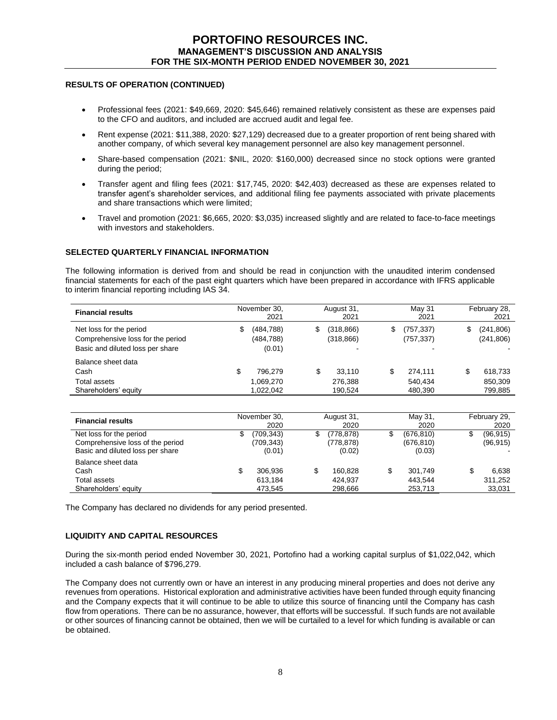# **RESULTS OF OPERATION (CONTINUED)**

- Professional fees (2021: \$49,669, 2020: \$45,646) remained relatively consistent as these are expenses paid to the CFO and auditors, and included are accrued audit and legal fee.
- Rent expense (2021: \$11,388, 2020: \$27,129) decreased due to a greater proportion of rent being shared with another company, of which several key management personnel are also key management personnel.
- Share-based compensation (2021: \$NIL, 2020: \$160,000) decreased since no stock options were granted during the period;
- Transfer agent and filing fees (2021: \$17,745, 2020: \$42,403) decreased as these are expenses related to transfer agent's shareholder services, and additional filing fee payments associated with private placements and share transactions which were limited;
- Travel and promotion (2021: \$6,665, 2020: \$3,035) increased slightly and are related to face-to-face meetings with investors and stakeholders.

## **SELECTED QUARTERLY FINANCIAL INFORMATION**

The following information is derived from and should be read in conjunction with the unaudited interim condensed financial statements for each of the past eight quarters which have been prepared in accordance with IFRS applicable to interim financial reporting including IAS 34.

| <b>Financial results</b>          |    | November 30,<br>2021 |    | August 31,<br>2021 | May 31<br>2021  |   | February 28,<br>2021 |
|-----------------------------------|----|----------------------|----|--------------------|-----------------|---|----------------------|
| Net loss for the period           | S  | (484,788)            | S  | (318, 866)         | \$<br>(757,337) | S | (241, 806)           |
| Comprehensive loss for the period |    | (484,788)            |    | (318, 866)         | (757, 337)      |   | (241, 806)           |
| Basic and diluted loss per share  |    | (0.01)               |    | $\blacksquare$     |                 |   |                      |
| Balance sheet data                |    |                      |    |                    |                 |   |                      |
| Cash                              | \$ | 796.279              | \$ | 33.110             | \$<br>274.111   | S | 618,733              |
| Total assets                      |    | 1,069,270            |    | 276,388            | 540.434         |   | 850,309              |
| Shareholders' equity              |    | 1,022,042            |    | 190,524            | 480,390         |   | 799,885              |

| <b>Financial results</b>                                                                        |   | November 30,<br>2020             | August 31,<br>2020                |   | May 31,<br>2020                    | February 29,<br>2020       |
|-------------------------------------------------------------------------------------------------|---|----------------------------------|-----------------------------------|---|------------------------------------|----------------------------|
| Net loss for the period<br>Comprehensive loss of the period<br>Basic and diluted loss per share | J | (709,343)<br>(709,343)<br>(0.01) | (778, 878)<br>(778,878)<br>(0.02) | S | (676, 810)<br>(676, 810)<br>(0.03) | (96, 915)<br>(96, 915)     |
| Balance sheet data<br>Cash<br>Total assets<br>Shareholders' equity                              | S | 306.936<br>613.184<br>473.545    | 160.828<br>424.937<br>298.666     | S | 301.749<br>443.544<br>253,713      | 6,638<br>311,252<br>33,031 |

The Company has declared no dividends for any period presented.

## **LIQUIDITY AND CAPITAL RESOURCES**

During the six-month period ended November 30, 2021, Portofino had a working capital surplus of \$1,022,042, which included a cash balance of \$796,279.

The Company does not currently own or have an interest in any producing mineral properties and does not derive any revenues from operations. Historical exploration and administrative activities have been funded through equity financing and the Company expects that it will continue to be able to utilize this source of financing until the Company has cash flow from operations. There can be no assurance, however, that efforts will be successful. If such funds are not available or other sources of financing cannot be obtained, then we will be curtailed to a level for which funding is available or can be obtained.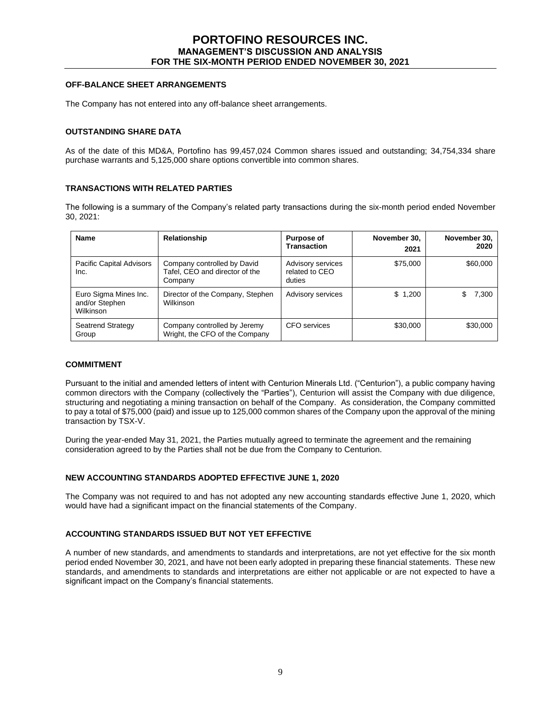## **OFF-BALANCE SHEET ARRANGEMENTS**

The Company has not entered into any off-balance sheet arrangements.

### **OUTSTANDING SHARE DATA**

As of the date of this MD&A, Portofino has 99,457,024 Common shares issued and outstanding; 34,754,334 share purchase warrants and 5,125,000 share options convertible into common shares.

### **TRANSACTIONS WITH RELATED PARTIES**

The following is a summary of the Company's related party transactions during the six-month period ended November 30, 2021:

| <b>Name</b>                                          | Relationship                                                             | <b>Purpose of</b><br><b>Transaction</b>       | November 30.<br>2021 | November 30.<br>2020 |
|------------------------------------------------------|--------------------------------------------------------------------------|-----------------------------------------------|----------------------|----------------------|
| Pacific Capital Advisors<br>Inc.                     | Company controlled by David<br>Tafel, CEO and director of the<br>Company | Advisory services<br>related to CEO<br>duties | \$75,000             | \$60,000             |
| Euro Sigma Mines Inc.<br>and/or Stephen<br>Wilkinson | Director of the Company, Stephen<br><b>Wilkinson</b>                     | Advisory services                             | \$1,200              | 7.300                |
| Seatrend Strategy<br>Group                           | Company controlled by Jeremy<br>Wright, the CFO of the Company           | <b>CFO</b> services                           | \$30,000             | \$30,000             |

### **COMMITMENT**

Pursuant to the initial and amended letters of intent with Centurion Minerals Ltd. ("Centurion"), a public company having common directors with the Company (collectively the "Parties"), Centurion will assist the Company with due diligence, structuring and negotiating a mining transaction on behalf of the Company. As consideration, the Company committed to pay a total of \$75,000 (paid) and issue up to 125,000 common shares of the Company upon the approval of the mining transaction by TSX-V.

During the year-ended May 31, 2021, the Parties mutually agreed to terminate the agreement and the remaining consideration agreed to by the Parties shall not be due from the Company to Centurion.

#### **NEW ACCOUNTING STANDARDS ADOPTED EFFECTIVE JUNE 1, 2020**

The Company was not required to and has not adopted any new accounting standards effective June 1, 2020, which would have had a significant impact on the financial statements of the Company.

## **ACCOUNTING STANDARDS ISSUED BUT NOT YET EFFECTIVE**

A number of new standards, and amendments to standards and interpretations, are not yet effective for the six month period ended November 30, 2021, and have not been early adopted in preparing these financial statements. These new standards, and amendments to standards and interpretations are either not applicable or are not expected to have a significant impact on the Company's financial statements.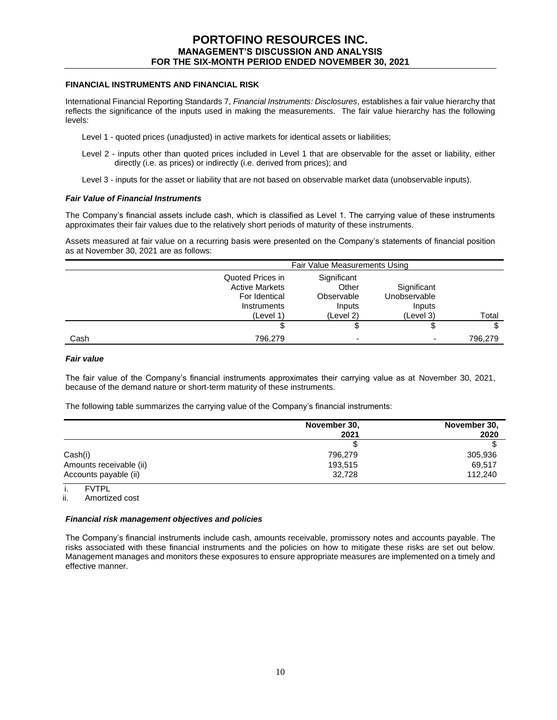## **FINANCIAL INSTRUMENTS AND FINANCIAL RISK**

International Financial Reporting Standards 7, *Financial Instruments: Disclosures*, establishes a fair value hierarchy that reflects the significance of the inputs used in making the measurements. The fair value hierarchy has the following levels:

- Level 1 quoted prices (unadjusted) in active markets for identical assets or liabilities;
- Level 2 inputs other than quoted prices included in Level 1 that are observable for the asset or liability, either directly (i.e. as prices) or indirectly (i.e. derived from prices); and
- Level 3 inputs for the asset or liability that are not based on observable market data (unobservable inputs).

### *Fair Value of Financial Instruments*

The Company's financial assets include cash, which is classified as Level 1. The carrying value of these instruments approximates their fair values due to the relatively short periods of maturity of these instruments.

Assets measured at fair value on a recurring basis were presented on the Company's statements of financial position as at November 30, 2021 are as follows:

|      | Fair Value Measurements Using                                             |                                              |                                       |         |  |
|------|---------------------------------------------------------------------------|----------------------------------------------|---------------------------------------|---------|--|
|      | Quoted Prices in<br><b>Active Markets</b><br>For Identical<br>Instruments | Significant<br>Other<br>Observable<br>Inputs | Significant<br>Unobservable<br>Inputs |         |  |
|      | (Level 1)                                                                 | (Level 2)                                    | (Level 3)                             | Total   |  |
|      |                                                                           | \$                                           | \$                                    | \$      |  |
| Cash | 796,279                                                                   |                                              | -                                     | 796,279 |  |

## *Fair value*

The fair value of the Company's financial instruments approximates their carrying value as at November 30, 2021, because of the demand nature or short‐term maturity of these instruments.

The following table summarizes the carrying value of the Company's financial instruments:

|                         | November 30, | November 30, |
|-------------------------|--------------|--------------|
|                         | 2021         | 2020         |
|                         |              |              |
| Cash(i)                 | 796.279      | 305,936      |
| Amounts receivable (ii) | 193,515      | 69,517       |
| Accounts payable (ii)   | 32,728       | 112.240      |

i. FVTPL

ii. Amortized cost

#### *Financial risk management objectives and policies*

The Company's financial instruments include cash, amounts receivable, promissory notes and accounts payable. The risks associated with these financial instruments and the policies on how to mitigate these risks are set out below. Management manages and monitors these exposures to ensure appropriate measures are implemented on a timely and effective manner.